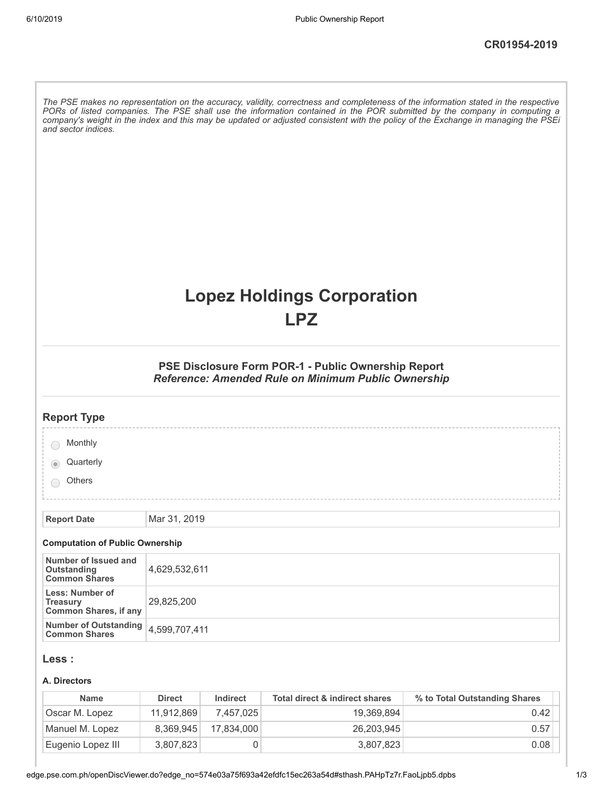| and sector indices.                                                |               |          |                                                                                                            | The PSE makes no representation on the accuracy, validity, correctness and completeness of the information stated in the respective<br>PORs of listed companies. The PSE shall use the information contained in the POR submitted by the company in computing a<br>company's weight in the index and this may be updated or adjusted consistent with the policy of the Exchange in managing the PSEi |
|--------------------------------------------------------------------|---------------|----------|------------------------------------------------------------------------------------------------------------|------------------------------------------------------------------------------------------------------------------------------------------------------------------------------------------------------------------------------------------------------------------------------------------------------------------------------------------------------------------------------------------------------|
|                                                                    |               |          | <b>Lopez Holdings Corporation</b><br><b>LPZ</b>                                                            |                                                                                                                                                                                                                                                                                                                                                                                                      |
|                                                                    |               |          | PSE Disclosure Form POR-1 - Public Ownership Report<br>Reference: Amended Rule on Minimum Public Ownership |                                                                                                                                                                                                                                                                                                                                                                                                      |
| <b>Report Type</b>                                                 |               |          |                                                                                                            |                                                                                                                                                                                                                                                                                                                                                                                                      |
| Monthly                                                            |               |          |                                                                                                            |                                                                                                                                                                                                                                                                                                                                                                                                      |
| Quarterly                                                          |               |          |                                                                                                            |                                                                                                                                                                                                                                                                                                                                                                                                      |
| <b>Others</b>                                                      |               |          |                                                                                                            |                                                                                                                                                                                                                                                                                                                                                                                                      |
|                                                                    |               |          |                                                                                                            |                                                                                                                                                                                                                                                                                                                                                                                                      |
| <b>Report Date</b>                                                 | Mar 31, 2019  |          |                                                                                                            |                                                                                                                                                                                                                                                                                                                                                                                                      |
| <b>Computation of Public Ownership</b>                             |               |          |                                                                                                            |                                                                                                                                                                                                                                                                                                                                                                                                      |
| Number of Issued and<br>Outstanding<br><b>Common Shares</b>        | 4,629,532,611 |          |                                                                                                            |                                                                                                                                                                                                                                                                                                                                                                                                      |
| Less: Number of<br><b>Treasury</b><br><b>Common Shares, if any</b> | 29,825,200    |          |                                                                                                            |                                                                                                                                                                                                                                                                                                                                                                                                      |
| <b>Number of Outstanding</b><br><b>Common Shares</b>               | 4,599,707,411 |          |                                                                                                            |                                                                                                                                                                                                                                                                                                                                                                                                      |
| Less :                                                             |               |          |                                                                                                            |                                                                                                                                                                                                                                                                                                                                                                                                      |
| A. Directors<br><b>Name</b>                                        | <b>Direct</b> | Indirect | Total direct & indirect shares                                                                             | % to Total Outstanding Shares                                                                                                                                                                                                                                                                                                                                                                        |

| <b>Name</b>       | Direct     | Indirect   | Total direct & indirect shares | % to Total Outstanding Shares |  |
|-------------------|------------|------------|--------------------------------|-------------------------------|--|
| Oscar M. Lopez    | 11.912.869 | 7.457.025  | 19,369,894                     | 0.42                          |  |
| Manuel M. Lopez   | 8.369.945  | 17.834.000 | 26,203,945                     | 0.57                          |  |
| Eugenio Lopez III | 3.807.823  |            | 3,807,823                      | 0.08                          |  |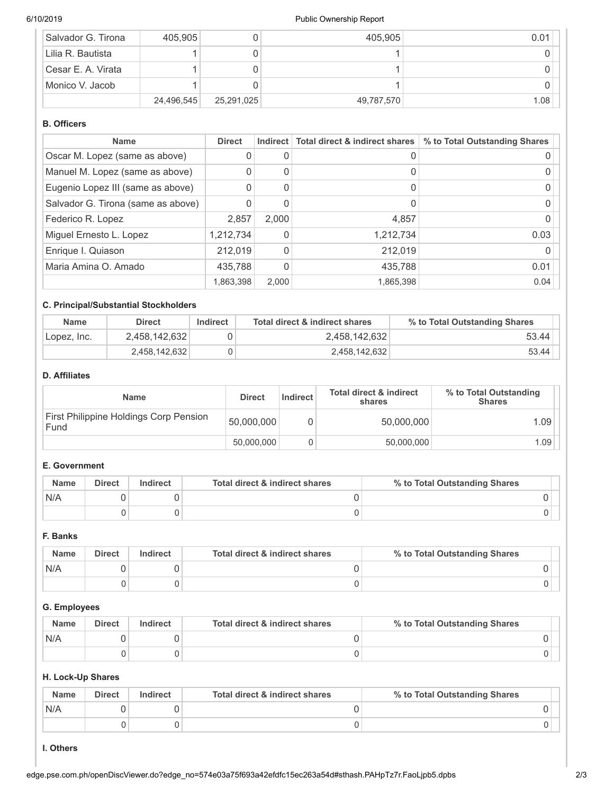## 6/10/2019 Public Ownership Report

| Salvador G. Tirona | 405,905    |            | 405,905    | 0.01 |
|--------------------|------------|------------|------------|------|
| Lilia R. Bautista  |            |            |            |      |
| Cesar E. A. Virata |            |            |            |      |
| Monico V. Jacob    |            |            |            |      |
|                    | 24,496,545 | 25,291,025 | 49,787,570 | 1.08 |

# **B. Officers**

| <b>Name</b>                        | <b>Direct</b> | Indirect     | Total direct & indirect shares | % to Total Outstanding Shares |
|------------------------------------|---------------|--------------|--------------------------------|-------------------------------|
| Oscar M. Lopez (same as above)     | 0             |              |                                |                               |
| Manuel M. Lopez (same as above)    | O             |              |                                |                               |
| Eugenio Lopez III (same as above)  | <sup>0</sup>  |              |                                |                               |
| Salvador G. Tirona (same as above) | O             |              |                                |                               |
| Federico R. Lopez                  | 2,857         | 2.000        | 4,857                          |                               |
| Miguel Ernesto L. Lopez            | 1,212,734     |              | 1,212,734                      | 0.03                          |
| Enrique I. Quiason                 | 212.019       | <sup>0</sup> | 212,019                        |                               |
| Maria Amina O. Amado               | 435,788       |              | 435,788                        | 0.01                          |
|                                    | 1,863,398     | 2.000        | 1,865,398                      | 0.04                          |

# **C. Principal/Substantial Stockholders**

| <b>Name</b>  | <b>Direct</b> | Indirect | Total direct & indirect shares | % to Total Outstanding Shares |
|--------------|---------------|----------|--------------------------------|-------------------------------|
| 'Lopez, Inc. | 2.458.142.632 |          | 2.458.142.632                  | 53.44                         |
|              | 2,458,142,632 |          | 2.458.142.632                  | 53.44                         |

### **D. Affiliates**

| <b>Name</b>                                    | <b>Direct</b> | <b>Indirect</b> | <b>Total direct &amp; indirect</b><br>shares | % to Total Outstanding<br><b>Shares</b> |
|------------------------------------------------|---------------|-----------------|----------------------------------------------|-----------------------------------------|
| First Philippine Holdings Corp Pension<br>Fund | 50,000,000    |                 | 50,000,000                                   | 1.09                                    |
|                                                | 50.000.000    |                 | 50,000,000                                   | .09                                     |

# **E. Government**

| <b>Name</b> | <b>Direct</b> | Indirect | Total direct & indirect shares | % to Total Outstanding Shares |
|-------------|---------------|----------|--------------------------------|-------------------------------|
| N/A         |               |          |                                |                               |
|             |               |          |                                |                               |

#### **F. Banks**

| <b>Name</b> | <b>Direct</b> | Indirect | Total direct & indirect shares | % to Total Outstanding Shares |
|-------------|---------------|----------|--------------------------------|-------------------------------|
| N/A         |               |          |                                |                               |
|             |               |          |                                |                               |

# **G. Employees**

| <b>Name</b> | <b>Direct</b> | Indirect | Total direct & indirect shares | % to Total Outstanding Shares |
|-------------|---------------|----------|--------------------------------|-------------------------------|
| N/A         |               |          |                                |                               |
|             |               |          |                                |                               |

# **H. Lock-Up Shares**

| <b>Name</b> | <b>Direct</b> | Indirect | Total direct & indirect shares | % to Total Outstanding Shares |
|-------------|---------------|----------|--------------------------------|-------------------------------|
| N/A         |               |          |                                |                               |
|             |               |          |                                |                               |

# **I. Others**